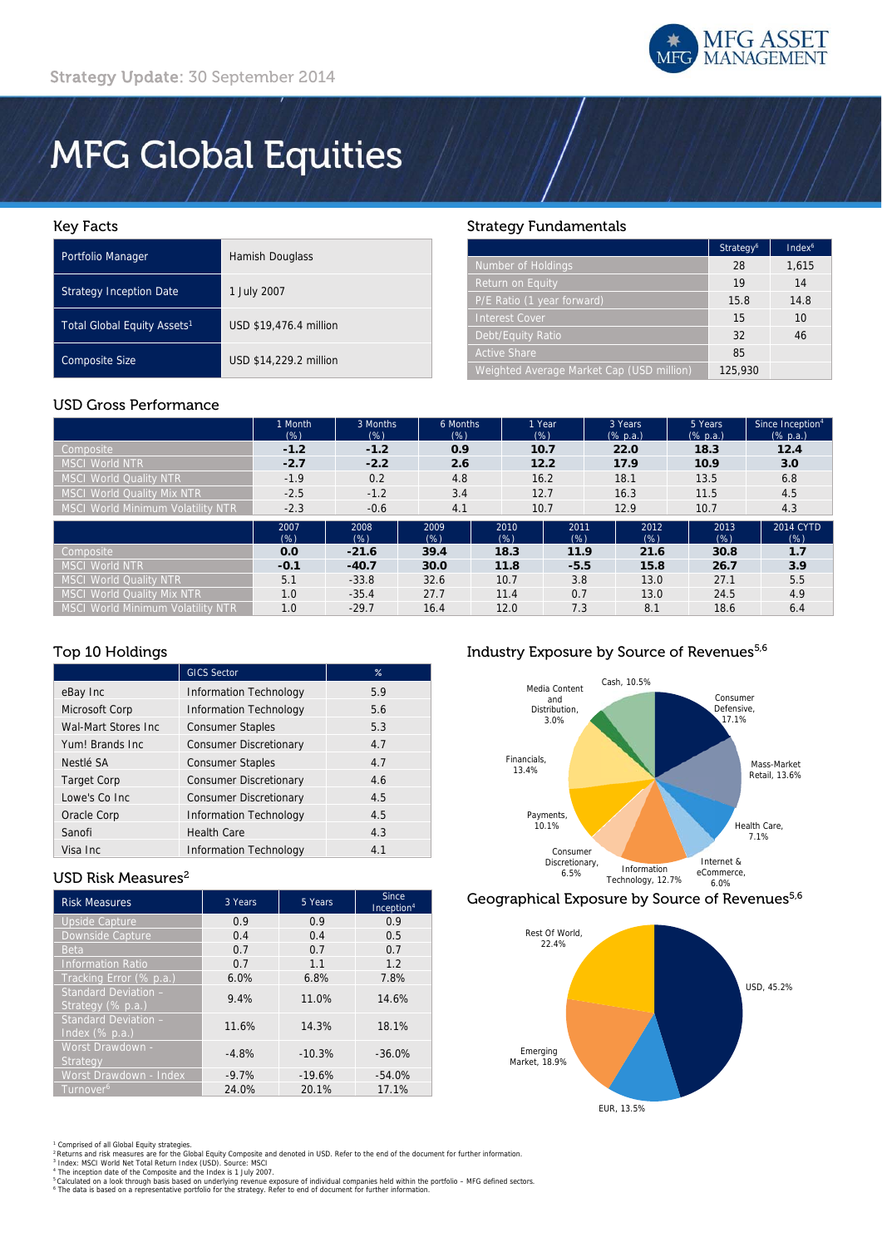

# **MFG Global Equities**

## Key Facts

| Portfolio Manager                       | Hamish Douglass        |
|-----------------------------------------|------------------------|
| <b>Strategy Inception Date</b>          | 1 July 2007            |
| Total Global Equity Assets <sup>1</sup> | USD \$19,476.4 million |
| <b>Composite Size</b>                   | USD \$14,229.2 million |

# Strategy Fundamentals

|                                           | Strategy <sup>6</sup> | Index <sup>6</sup> |
|-------------------------------------------|-----------------------|--------------------|
| Number of Holdings                        | 28                    | 1,615              |
| Return on Equity                          | 19                    | 14                 |
| P/E Ratio (1 year forward)                | 15.8                  | 14.8               |
| <b>Interest Cover</b>                     | 15                    | 10                 |
| Debt/Equity Ratio                         | 32                    | 46                 |
| <b>Active Share</b>                       | 85                    |                    |
| Weighted Average Market Cap (USD million) | 125,930               |                    |

# USD Gross Performance

|                                          | 1 Month<br>$(\%)$ | 3 Months<br>$(\%)$ | 6 Months<br>(% ) | 1 Year<br>(%) |             | 3 Years<br>$(% \mathbb{R}^2)$ (% p.a.) | 5 Years<br>$(% \mathbb{R}^2)$ (% p.a.) | Since Inception <sup>4</sup><br>$(% \mathbb{R}^2)$ (% p.a.) |
|------------------------------------------|-------------------|--------------------|------------------|---------------|-------------|----------------------------------------|----------------------------------------|-------------------------------------------------------------|
| Composite                                | $-1.2$            | $-1.2$             | 0.9              | 10.7          |             | 22.0                                   | 18.3                                   | 12.4                                                        |
| <b>MSCI World NTR</b>                    | $-2.7$            | $-2.2$             | 2.6              | 12.2          |             | 17.9                                   | 10.9                                   | 3.0                                                         |
| <b>MSCI World Quality NTR</b>            | $-1.9$            | 0.2                | 4.8              | 16.2          |             | 18.1                                   | 13.5                                   | 6.8                                                         |
| <b>MSCI World Quality Mix NTR</b>        | $-2.5$            | $-1.2$             | 3.4              | 12.7          |             | 16.3                                   | 11.5                                   | 4.5                                                         |
| MSCI World Minimum Volatility NTR        | $-2.3$            | $-0.6$             | 4.1              | 10.7          |             | 12.9                                   | 10.7                                   | 4.3                                                         |
|                                          | 2007<br>$(\%)$    | 2008<br>$(\%)$     | 2009<br>(% )     | 2010<br>(% )  | 2011<br>(%) | 2012<br>(%)                            | 2013<br>$(\%)$                         | 2014 CYTD<br>$(\%)$                                         |
| Composite                                | 0.0               | $-21.6$            | 39.4             | 18.3          | 11.9        | 21.6                                   | 30.8                                   | 1.7                                                         |
| <b>MSCI World NTR</b>                    | $-0.1$            | $-40.7$            | 30.0             | 11.8          | $-5.5$      | 15.8                                   | 26.7                                   | 3.9                                                         |
| <b>MSCI World Quality NTR</b>            | 5.1               | $-33.8$            | 32.6             | 10.7          | 3.8         | 13.0                                   | 27.1                                   | 5.5                                                         |
| <b>MSCI World Quality Mix NTR</b>        | 1.0               | $-35.4$            | 27.7             | 11.4          | 0.7         | 13.0                                   | 24.5                                   | 4.9                                                         |
| <b>MSCI World Minimum Volatility NTR</b> | 1.0               | $-29.7$            | 16.4             | 12.0          | 7.3         | 8.1                                    | 18.6                                   | 6.4                                                         |

# Top 10 Holdings

|                     | <b>GICS Sector</b>            | $\%$ |
|---------------------|-------------------------------|------|
| eBay Inc            | <b>Information Technology</b> | 5.9  |
| Microsoft Corp      | <b>Information Technology</b> | 5.6  |
| Wal-Mart Stores Inc | <b>Consumer Staples</b>       | 5.3  |
| Yum! Brands Inc     | <b>Consumer Discretionary</b> | 4.7  |
| Nestlé SA           | <b>Consumer Staples</b>       | 4.7  |
| <b>Target Corp</b>  | <b>Consumer Discretionary</b> | 4.6  |
| Lowe's Co Inc.      | <b>Consumer Discretionary</b> | 4.5  |
| Oracle Corp         | <b>Information Technology</b> | 4.5  |
| Sanofi              | <b>Health Care</b>            | 4.3  |
| Visa Inc            | <b>Information Technology</b> | 4.1  |

# USD Risk Measures<sup>2</sup>

| <b>Risk Measures</b>                      | 3 Years<br>5 Years |          | Since<br>Inception <sup>4</sup> |
|-------------------------------------------|--------------------|----------|---------------------------------|
| <b>Upside Capture</b>                     | 0.9                | 0.9      | 0.9                             |
| Downside Capture                          | 0.4                | 0.4      | 0.5                             |
| <b>Beta</b>                               | 0.7                | 0.7      | 0.7                             |
| <b>Information Ratio</b>                  | 0.7                | 1.1      | 1.2                             |
| Tracking Error (% p.a.)                   | 6.0%               | 6.8%     | 7.8%                            |
| Standard Deviation -<br>Strategy (% p.a.) | 9.4%               | 11.0%    | 14.6%                           |
| Standard Deviation -<br>Index $(\%$ p.a.) | 11.6%              | 14.3%    | 18.1%                           |
| Worst Drawdown -<br>Strategy              | $-4.8%$            | $-10.3%$ | $-36.0%$                        |
| Worst Drawdown - Index                    | $-9.7%$            | $-19.6%$ | $-54.0%$                        |
| Turnover <sup>6</sup>                     | 24.0%              | 20.1%    | 17.1%                           |

# Industry Exposure by Source of Revenues<sup>5,6</sup>



# Geographical Exposure by Source of Revenues<sup>5,6</sup>



<sup>1</sup> Comprised of all Global Equity strategies.<br><sup>2</sup> Returns and risk measures are for the Global Equity Composite and denoted in USD. Refer to the end of the document for further information.<br><sup>4</sup> Index: MSCI World Net Total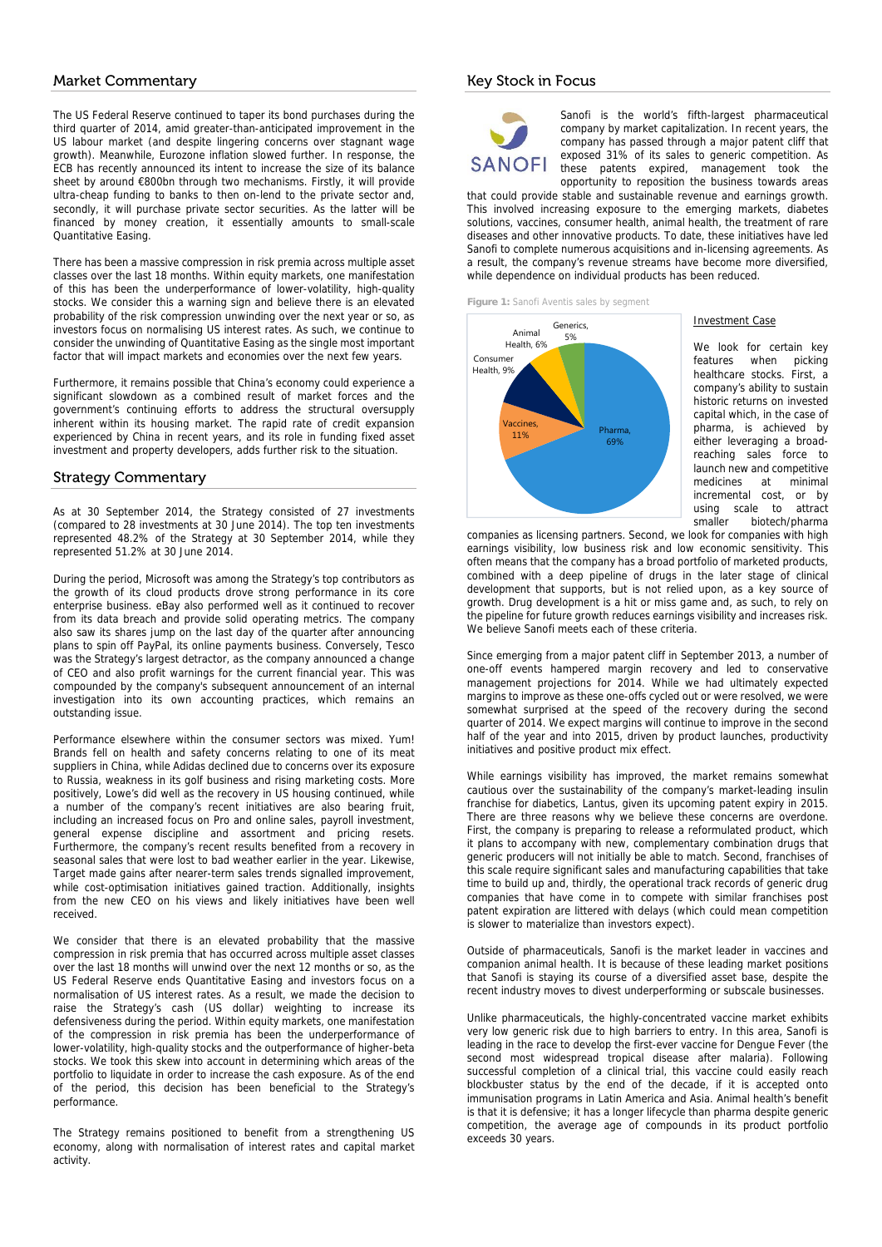### Market Commentary

The US Federal Reserve continued to taper its bond purchases during the third quarter of 2014, amid greater-than-anticipated improvement in the US labour market (and despite lingering concerns over stagnant wage growth). Meanwhile, Eurozone inflation slowed further. In response, the ECB has recently announced its intent to increase the size of its balance sheet by around €800bn through two mechanisms. Firstly, it will provide ultra-cheap funding to banks to then on-lend to the private sector and, secondly, it will purchase private sector securities. As the latter will be financed by money creation, it essentially amounts to small-scale Quantitative Easing.

There has been a massive compression in risk premia across multiple asset classes over the last 18 months. Within equity markets, one manifestation of this has been the underperformance of lower-volatility, high-quality stocks. We consider this a warning sign and believe there is an elevated probability of the risk compression unwinding over the next year or so, as investors focus on normalising US interest rates. As such, we continue to consider the unwinding of Quantitative Easing as the single most important factor that will impact markets and economies over the next few years.

Furthermore, it remains possible that China's economy could experience a significant slowdown as a combined result of market forces and the government's continuing efforts to address the structural oversupply inherent within its housing market. The rapid rate of credit expansion experienced by China in recent years, and its role in funding fixed asset investment and property developers, adds further risk to the situation.

#### Strategy Commentary

As at 30 September 2014, the Strategy consisted of 27 investments (compared to 28 investments at 30 June 2014). The top ten investments represented 48.2% of the Strategy at 30 September 2014, while they represented 51.2% at 30 June 2014.

During the period, Microsoft was among the Strategy's top contributors as the growth of its cloud products drove strong performance in its core enterprise business. eBay also performed well as it continued to recover from its data breach and provide solid operating metrics. The company also saw its shares jump on the last day of the quarter after announcing plans to spin off PayPal, its online payments business. Conversely, Tesco was the Strategy's largest detractor, as the company announced a change of CEO and also profit warnings for the current financial year. This was compounded by the company's subsequent announcement of an internal investigation into its own accounting practices, which remains an outstanding issue.

Performance elsewhere within the consumer sectors was mixed. Yum! Brands fell on health and safety concerns relating to one of its meat suppliers in China, while Adidas declined due to concerns over its exposure to Russia, weakness in its golf business and rising marketing costs. More positively, Lowe's did well as the recovery in US housing continued, while a number of the company's recent initiatives are also bearing fruit, including an increased focus on Pro and online sales, payroll investment, general expense discipline and assortment and pricing resets. Furthermore, the company's recent results benefited from a recovery in seasonal sales that were lost to bad weather earlier in the year. Likewise, Target made gains after nearer-term sales trends signalled improvement, while cost-optimisation initiatives gained traction. Additionally, insights from the new CEO on his views and likely initiatives have been well received.

We consider that there is an elevated probability that the massive compression in risk premia that has occurred across multiple asset classes over the last 18 months will unwind over the next 12 months or so, as the US Federal Reserve ends Quantitative Easing and investors focus on a normalisation of US interest rates. As a result, we made the decision to raise the Strategy's cash (US dollar) weighting to increase its defensiveness during the period. Within equity markets, one manifestation of the compression in risk premia has been the underperformance of lower-volatility, high-quality stocks and the outperformance of higher-beta stocks. We took this skew into account in determining which areas of the portfolio to liquidate in order to increase the cash exposure. As of the end of the period, this decision has been beneficial to the Strategy's performance.

The Strategy remains positioned to benefit from a strengthening US economy, along with normalisation of interest rates and capital market activity.

### Key Stock in Focus



Sanofi is the world's fifth-largest pharmaceutical company by market capitalization. In recent years, the company has passed through a major patent cliff that exposed 31% of its sales to generic competition. As these patents expired, management took the opportunity to reposition the business towards areas

that could provide stable and sustainable revenue and earnings growth. This involved increasing exposure to the emerging markets, diabetes solutions, vaccines, consumer health, animal health, the treatment of rare diseases and other innovative products. To date, these initiatives have led Sanofi to complete numerous acquisitions and in-licensing agreements. As a result, the company's revenue streams have become more diversified, while dependence on individual products has been reduced.

**Figure 1:** Sanofi Aventis sales by segment



Investment Case

We look for certain key features when picking healthcare stocks. First, a company's ability to sustain historic returns on invested capital which, in the case of pharma, is achieved by either leveraging a broadreaching sales force to launch new and competitive medicines at minimal incremental cost, or by<br>using scale to attract scale smaller biotech/pharma

companies as licensing partners. Second, we look for companies with high earnings visibility, low business risk and low economic sensitivity. This often means that the company has a broad portfolio of marketed products, combined with a deep pipeline of drugs in the later stage of clinical development that supports, but is not relied upon, as a key source of growth. Drug development is a hit or miss game and, as such, to rely on the pipeline for future growth reduces earnings visibility and increases risk. We believe Sanofi meets each of these criteria

Since emerging from a major patent cliff in September 2013, a number of one-off events hampered margin recovery and led to conservative management projections for 2014. While we had ultimately expected margins to improve as these one-offs cycled out or were resolved, we were somewhat surprised at the speed of the recovery during the second quarter of 2014. We expect margins will continue to improve in the second half of the year and into 2015, driven by product launches, productivity initiatives and positive product mix effect.

While earnings visibility has improved, the market remains somewhat cautious over the sustainability of the company's market-leading insulin franchise for diabetics, Lantus, given its upcoming patent expiry in 2015. There are three reasons why we believe these concerns are overdone. First, the company is preparing to release a reformulated product, which it plans to accompany with new, complementary combination drugs that generic producers will not initially be able to match. Second, franchises of this scale require significant sales and manufacturing capabilities that take time to build up and, thirdly, the operational track records of generic drug companies that have come in to compete with similar franchises post patent expiration are littered with delays (which could mean competition is slower to materialize than investors expect).

Outside of pharmaceuticals, Sanofi is the market leader in vaccines and companion animal health. It is because of these leading market positions that Sanofi is staying its course of a diversified asset base, despite the recent industry moves to divest underperforming or subscale businesses.

Unlike pharmaceuticals, the highly-concentrated vaccine market exhibits very low generic risk due to high barriers to entry. In this area, Sanofi is leading in the race to develop the first-ever vaccine for Dengue Fever (the second most widespread tropical disease after malaria). Following successful completion of a clinical trial, this vaccine could easily reach blockbuster status by the end of the decade, if it is accepted onto immunisation programs in Latin America and Asia. Animal health's benefit is that it is defensive; it has a longer lifecycle than pharma despite generic competition, the average age of compounds in its product portfolio exceeds 30 years.